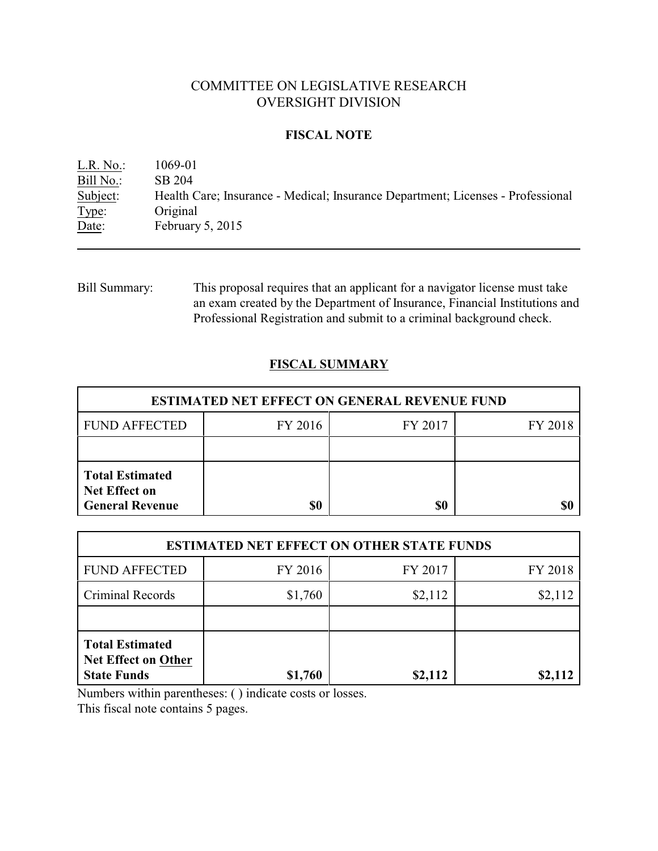# COMMITTEE ON LEGISLATIVE RESEARCH OVERSIGHT DIVISION

## **FISCAL NOTE**

L.R. No.: 1069-01 Bill No.: SB 204 Subject: Health Care; Insurance - Medical; Insurance Department; Licenses - Professional Type: Original Date: February 5, 2015

Bill Summary: This proposal requires that an applicant for a navigator license must take an exam created by the Department of Insurance, Financial Institutions and Professional Registration and submit to a criminal background check.

# **FISCAL SUMMARY**

| <b>ESTIMATED NET EFFECT ON GENERAL REVENUE FUND</b>                      |         |         |         |  |
|--------------------------------------------------------------------------|---------|---------|---------|--|
| <b>FUND AFFECTED</b>                                                     | FY 2016 | FY 2017 | FY 2018 |  |
|                                                                          |         |         |         |  |
| <b>Total Estimated</b><br><b>Net Effect on</b><br><b>General Revenue</b> | \$0     | \$0     |         |  |

| <b>ESTIMATED NET EFFECT ON OTHER STATE FUNDS</b>                           |         |         |         |  |
|----------------------------------------------------------------------------|---------|---------|---------|--|
| <b>FUND AFFECTED</b>                                                       | FY 2016 | FY 2017 | FY 2018 |  |
| <b>Criminal Records</b>                                                    | \$1,760 | \$2,112 | \$2,112 |  |
|                                                                            |         |         |         |  |
| <b>Total Estimated</b><br><b>Net Effect on Other</b><br><b>State Funds</b> | \$1,760 | \$2,112 | \$2,112 |  |

Numbers within parentheses: ( ) indicate costs or losses.

This fiscal note contains 5 pages.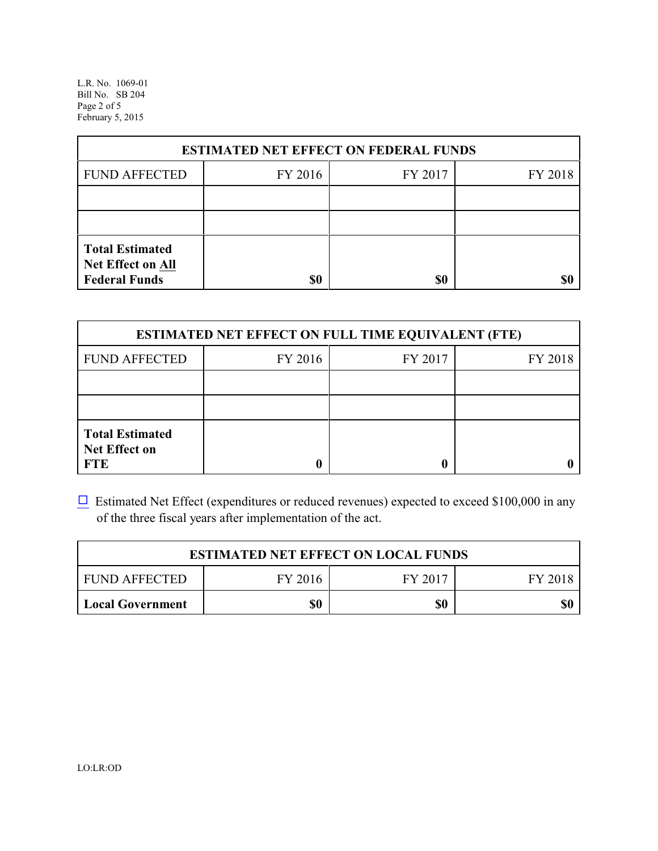L.R. No. 1069-01 Bill No. SB 204 Page 2 of 5 February 5, 2015

| <b>ESTIMATED NET EFFECT ON FEDERAL FUNDS</b>                        |         |         |         |  |
|---------------------------------------------------------------------|---------|---------|---------|--|
| <b>FUND AFFECTED</b>                                                | FY 2016 | FY 2017 | FY 2018 |  |
|                                                                     |         |         |         |  |
|                                                                     |         |         |         |  |
| <b>Total Estimated</b><br>Net Effect on All<br><b>Federal Funds</b> | \$0     | \$0     |         |  |

| <b>ESTIMATED NET EFFECT ON FULL TIME EQUIVALENT (FTE)</b>    |         |         |         |  |
|--------------------------------------------------------------|---------|---------|---------|--|
| <b>FUND AFFECTED</b>                                         | FY 2016 | FY 2017 | FY 2018 |  |
|                                                              |         |         |         |  |
|                                                              |         |         |         |  |
| <b>Total Estimated</b><br><b>Net Effect on</b><br><b>FTE</b> |         |         |         |  |

 $\Box$  Estimated Net Effect (expenditures or reduced revenues) expected to exceed \$100,000 in any of the three fiscal years after implementation of the act.

| <b>ESTIMATED NET EFFECT ON LOCAL FUNDS</b> |         |         |         |
|--------------------------------------------|---------|---------|---------|
| <b>FUND AFFECTED</b>                       | FY 2016 | FY 2017 | FY 2018 |
| <b>Local Government</b>                    | \$0     | \$0     | \$0     |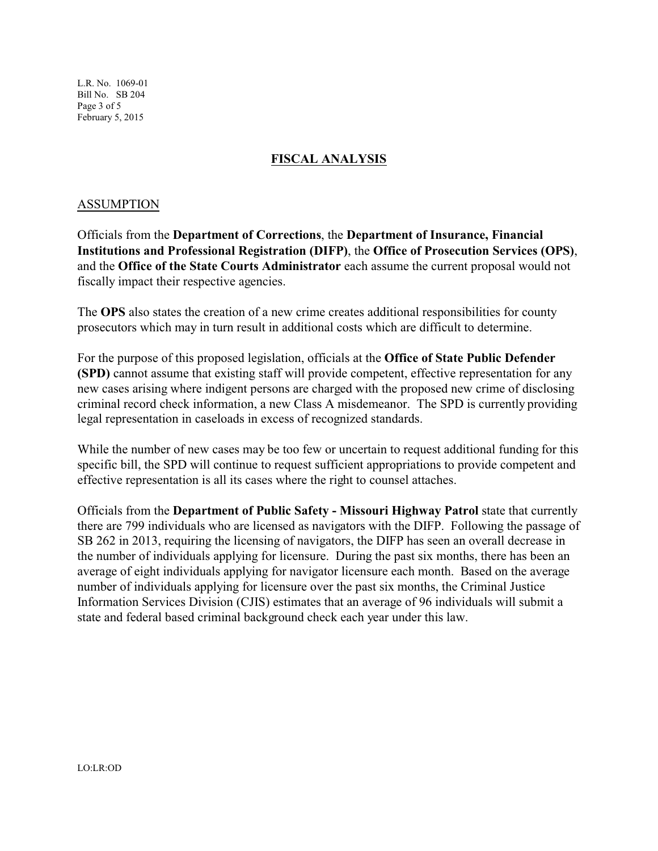L.R. No. 1069-01 Bill No. SB 204 Page 3 of 5 February 5, 2015

## **FISCAL ANALYSIS**

## ASSUMPTION

Officials from the **Department of Corrections**, the **Department of Insurance, Financial Institutions and Professional Registration (DIFP)**, the **Office of Prosecution Services (OPS)**, and the **Office of the State Courts Administrator** each assume the current proposal would not fiscally impact their respective agencies.

The **OPS** also states the creation of a new crime creates additional responsibilities for county prosecutors which may in turn result in additional costs which are difficult to determine.

For the purpose of this proposed legislation, officials at the **Office of State Public Defender (SPD)** cannot assume that existing staff will provide competent, effective representation for any new cases arising where indigent persons are charged with the proposed new crime of disclosing criminal record check information, a new Class A misdemeanor. The SPD is currently providing legal representation in caseloads in excess of recognized standards.

While the number of new cases may be too few or uncertain to request additional funding for this specific bill, the SPD will continue to request sufficient appropriations to provide competent and effective representation is all its cases where the right to counsel attaches.

Officials from the **Department of Public Safety - Missouri Highway Patrol** state that currently there are 799 individuals who are licensed as navigators with the DIFP. Following the passage of SB 262 in 2013, requiring the licensing of navigators, the DIFP has seen an overall decrease in the number of individuals applying for licensure. During the past six months, there has been an average of eight individuals applying for navigator licensure each month. Based on the average number of individuals applying for licensure over the past six months, the Criminal Justice Information Services Division (CJIS) estimates that an average of 96 individuals will submit a state and federal based criminal background check each year under this law.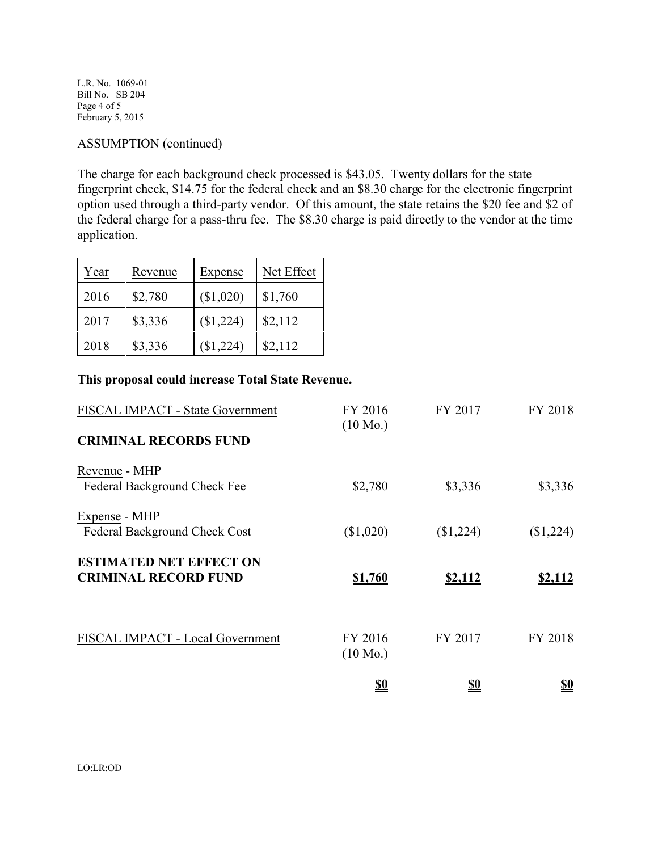L.R. No. 1069-01 Bill No. SB 204 Page 4 of 5 February 5, 2015

## ASSUMPTION (continued)

The charge for each background check processed is \$43.05. Twenty dollars for the state fingerprint check, \$14.75 for the federal check and an \$8.30 charge for the electronic fingerprint option used through a third-party vendor. Of this amount, the state retains the \$20 fee and \$2 of the federal charge for a pass-thru fee. The \$8.30 charge is paid directly to the vendor at the time application.

| Year | Revenue | Expense   | Net Effect |
|------|---------|-----------|------------|
| 2016 | \$2,780 | (\$1,020) | \$1,760    |
| 2017 | \$3,336 | (\$1,224) | \$2,112    |
| 2018 | \$3,336 | (\$1,224) | \$2,112    |

#### **This proposal could increase Total State Revenue.**

| FISCAL IMPACT - State Government                              | FY 2016<br>$(10 \text{ Mo.})$ | FY 2017        | FY 2018        |
|---------------------------------------------------------------|-------------------------------|----------------|----------------|
| <b>CRIMINAL RECORDS FUND</b>                                  |                               |                |                |
| Revenue - MHP<br>Federal Background Check Fee                 | \$2,780                       | \$3,336        | \$3,336        |
| Expense - MHP<br>Federal Background Check Cost                | (\$1,020)                     | (\$1,224)      | (\$1,224)      |
| <b>ESTIMATED NET EFFECT ON</b><br><b>CRIMINAL RECORD FUND</b> | \$1,760                       | <u>\$2,112</u> | <u>\$2,112</u> |
| FISCAL IMPACT - Local Government                              | FY 2016<br>$(10 \text{ Mo.})$ | FY 2017        | FY 2018        |
|                                                               | <u>\$0</u>                    | <u>\$0</u>     | <u>\$0</u>     |